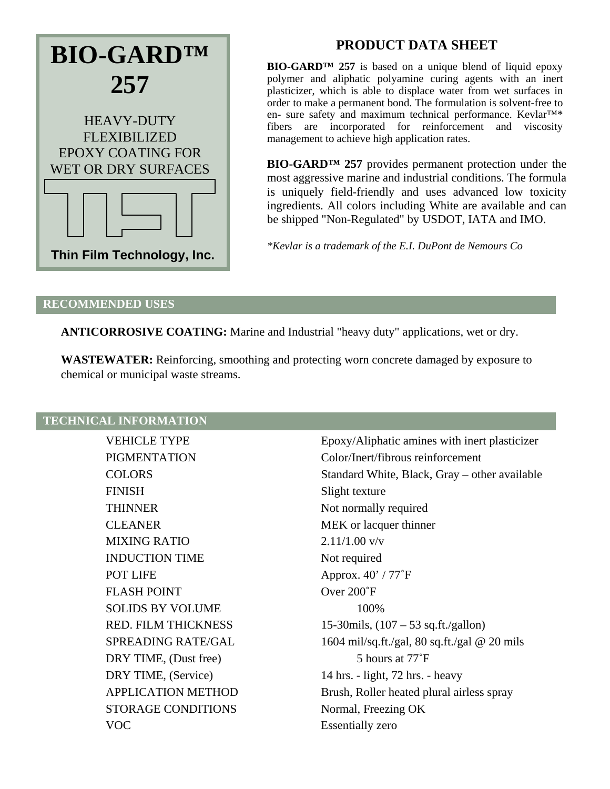

# **PRODUCT DATA SHEET**

**BIO-GARD™ 257** is based on a unique blend of liquid epoxy polymer and aliphatic polyamine curing agents with an inert plasticizer, which is able to displace water from wet surfaces in order to make a permanent bond. The formulation is solvent-free to en- sure safety and maximum technical performance. Kevlar™\* fibers are incorporated for reinforcement and viscosity management to achieve high application rates.

**BIO-GARD™ 257** provides permanent protection under the most aggressive marine and industrial conditions. The formula is uniquely field-friendly and uses advanced low toxicity ingredients. All colors including White are available and can be shipped "Non-Regulated" by USDOT, IATA and IMO.

*\*Kevlar is a trademark of the E.I. DuPont de Nemours Co*

## **RECOMMENDED USES**

**ANTICORROSIVE COATING:** Marine and Industrial "heavy duty" applications, wet or dry.

**WASTEWATER:** Reinforcing, smoothing and protecting worn concrete damaged by exposure to chemical or municipal waste streams.

# **TECHNICAL INFORMATION**

| <b>VEHICLE TYPE</b>        | Epoxy/Alipha          |
|----------------------------|-----------------------|
| <b>PIGMENTATION</b>        | Color/Inert/fil       |
| <b>COLORS</b>              | <b>Standard Whi</b>   |
| <b>FINISH</b>              | Slight texture        |
| <b>THINNER</b>             | Not normally          |
| <b>CLEANER</b>             | MEK or lacqu          |
| <b>MIXING RATIO</b>        | $2.11/1.00$ v/v       |
| <b>INDUCTION TIME</b>      | Not required          |
| POT LIFE                   | Approx. $40'$ /       |
| <b>FLASH POINT</b>         | Over 200°F            |
| <b>SOLIDS BY VOLUME</b>    | 100%                  |
| <b>RED. FILM THICKNESS</b> | 15-30 mils, (10)      |
| <b>SPREADING RATE/GAL</b>  | $1604$ mil/sq.ft      |
| DRY TIME, (Dust free)      | 5 hour                |
| DRY TIME, (Service)        | 14 hrs. $-$ light,    |
| <b>APPLICATION METHOD</b>  | Brush, Roller         |
| <b>STORAGE CONDITIONS</b>  | Normal, Freez         |
| <b>VOC</b>                 | <b>Essentially</b> ze |

Epoxy/Aliphatic amines with inert plasticizer Color/Inert/fibrous reinforcement Standard White, Black, Gray – other available Slight texture Not normally required MEK or lacquer thinner  $2.11/1.00$  v/v Not required Approx.  $40' / 77°$ F Over  $200°$ F  $15-30$  mils,  $(107 – 53$  sq.ft./gallon)  $1604$  mil/sq.ft./gal, 80 sq.ft./gal @ 20 mils 5 hours at 77°F  $14$  hrs. - light, 72 hrs. - heavy Brush, Roller heated plural airless spray Normal, Freezing OK Essentially zero